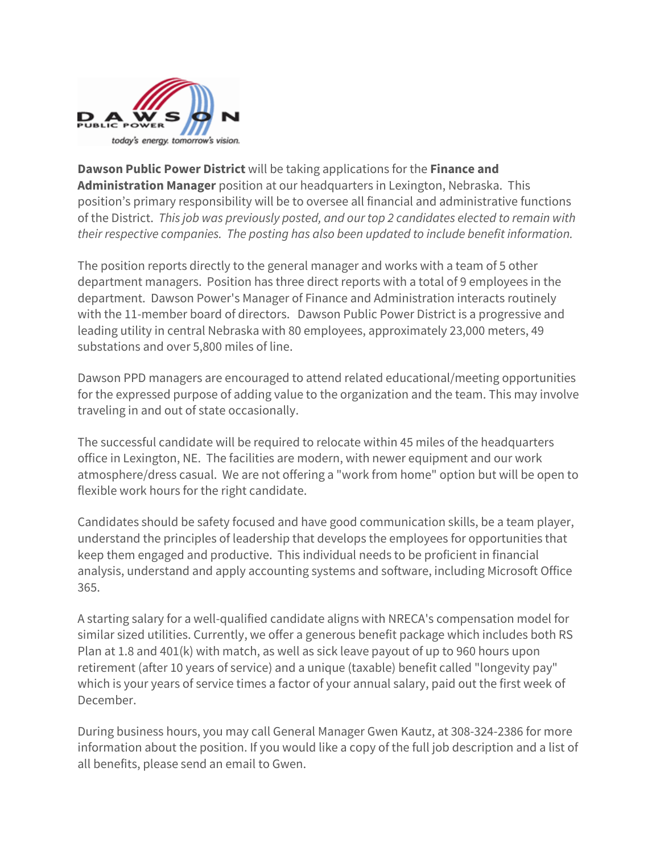

**Dawson Public Power District** will be taking applications for the **Finance and Administration Manager** position at our headquarters in Lexington, Nebraska. This position's primary responsibility will be to oversee all financial and administrative functions of the District. *This job was previously posted, and our top 2 candidates elected to remain with their respective companies. The posting has also been updated to include benefit information.*

The position reports directly to the general manager and works with a team of 5 other department managers. Position has three direct reports with a total of 9 employees in the department. Dawson Power's Manager of Finance and Administration interacts routinely with the 11-member board of directors. Dawson Public Power District is a progressive and leading utility in central Nebraska with 80 employees, approximately 23,000 meters, 49 substations and over 5,800 miles of line.

Dawson PPD managers are encouraged to attend related educational/meeting opportunities for the expressed purpose of adding value to the organization and the team. This may involve traveling in and out of state occasionally.

The successful candidate will be required to relocate within 45 miles of the headquarters office in Lexington, NE. The facilities are modern, with newer equipment and our work atmosphere/dress casual. We are not offering a "work from home" option but will be open to flexible work hours for the right candidate.

Candidates should be safety focused and have good communication skills, be a team player, understand the principles of leadership that develops the employees for opportunities that keep them engaged and productive. This individual needs to be proficient in financial analysis, understand and apply accounting systems and software, including Microsoft Office 365.

A starting salary for a well-qualified candidate aligns with NRECA's compensation model for similar sized utilities. Currently, we offer a generous benefit package which includes both RS Plan at 1.8 and 401(k) with match, as well as sick leave payout of up to 960 hours upon retirement (after 10 years of service) and a unique (taxable) benefit called "longevity pay" which is your years of service times a factor of your annual salary, paid out the first week of December.

During business hours, you may call General Manager Gwen Kautz, at 308-324-2386 for more information about the position. If you would like a copy of the full job description and a list of all benefits, please send an email to Gwen.